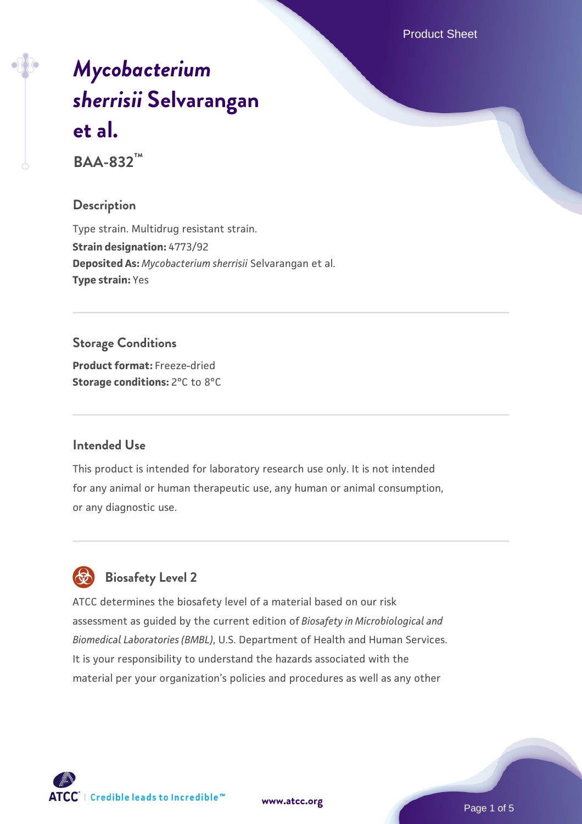Product Sheet

# *[Mycobacterium](https://www.atcc.org/products/baa-832) [sherrisii](https://www.atcc.org/products/baa-832)* **[Selvarangan](https://www.atcc.org/products/baa-832) [et al.](https://www.atcc.org/products/baa-832)**

**BAA-832™**

#### **Description**

Type strain. Multidrug resistant strain. **Strain designation:** 4773/92 **Deposited As:** *Mycobacterium sherrisii* Selvarangan et al. **Type strain:** Yes

**Storage Conditions Product format:** Freeze-dried **Storage conditions:** 2°C to 8°C

## **Intended Use**

This product is intended for laboratory research use only. It is not intended for any animal or human therapeutic use, any human or animal consumption, or any diagnostic use.



# **Biosafety Level 2**

ATCC determines the biosafety level of a material based on our risk assessment as guided by the current edition of *Biosafety in Microbiological and Biomedical Laboratories (BMBL)*, U.S. Department of Health and Human Services. It is your responsibility to understand the hazards associated with the material per your organization's policies and procedures as well as any other



**[www.atcc.org](http://www.atcc.org)**

Page 1 of 5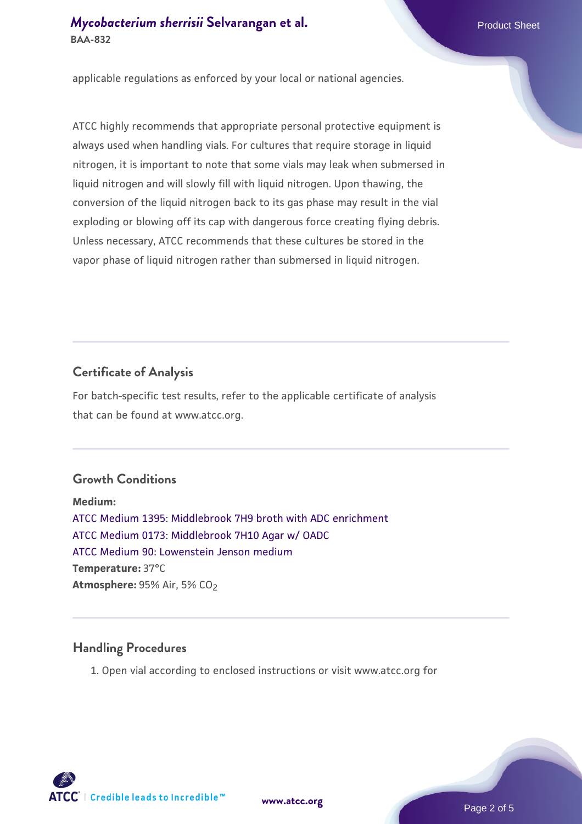applicable regulations as enforced by your local or national agencies.

ATCC highly recommends that appropriate personal protective equipment is always used when handling vials. For cultures that require storage in liquid nitrogen, it is important to note that some vials may leak when submersed in liquid nitrogen and will slowly fill with liquid nitrogen. Upon thawing, the conversion of the liquid nitrogen back to its gas phase may result in the vial exploding or blowing off its cap with dangerous force creating flying debris. Unless necessary, ATCC recommends that these cultures be stored in the vapor phase of liquid nitrogen rather than submersed in liquid nitrogen.

# **Certificate of Analysis**

For batch-specific test results, refer to the applicable certificate of analysis that can be found at www.atcc.org.

# **Growth Conditions**

**Medium:**  [ATCC Medium 1395: Middlebrook 7H9 broth with ADC enrichment](https://www.atcc.org/-/media/product-assets/documents/microbial-media-formulations/1/3/9/5/atcc-medium-1395.pdf?rev=83f84c8c9e994a71a2edb0458ff02218) [ATCC Medium 0173: Middlebrook 7H10 Agar w/ OADC](https://www.atcc.org/-/media/product-assets/documents/microbial-media-formulations/0/1/7/3/atcc-medium-0173.pdf?rev=2fcd87d0ebaf471d8aa6aba3758ef39f) [ATCC Medium 90: Lowenstein Jenson medium](https://www.atcc.org/-/media/product-assets/documents/microbial-media-formulations/9/0/atcc-medium-90.pdf?rev=2af45eec61614a8e9024c1519219fe34) **Temperature:** 37°C **Atmosphere:** 95% Air, 5% CO2

# **Handling Procedures**

1. Open vial according to enclosed instructions or visit www.atcc.org for

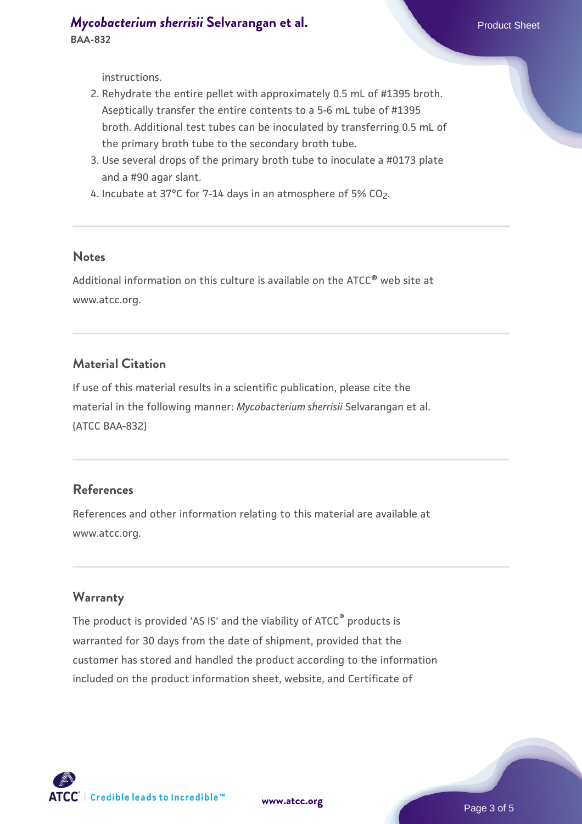instructions.

- 2. Rehydrate the entire pellet with approximately 0.5 mL of #1395 broth. Aseptically transfer the entire contents to a 5-6 mL tube of #1395 broth. Additional test tubes can be inoculated by transferring 0.5 mL of the primary broth tube to the secondary broth tube.
- 3. Use several drops of the primary broth tube to inoculate a #0173 plate and a #90 agar slant.
- 4. Incubate at 37°C for 7-14 days in an atmosphere of 5% CO<sub>2</sub>.

#### **Notes**

Additional information on this culture is available on the ATCC® web site at www.atcc.org.

#### **Material Citation**

If use of this material results in a scientific publication, please cite the material in the following manner: *Mycobacterium sherrisii* Selvarangan et al. (ATCC BAA-832)

## **References**

References and other information relating to this material are available at www.atcc.org.

#### **Warranty**

The product is provided 'AS IS' and the viability of ATCC® products is warranted for 30 days from the date of shipment, provided that the customer has stored and handled the product according to the information included on the product information sheet, website, and Certificate of

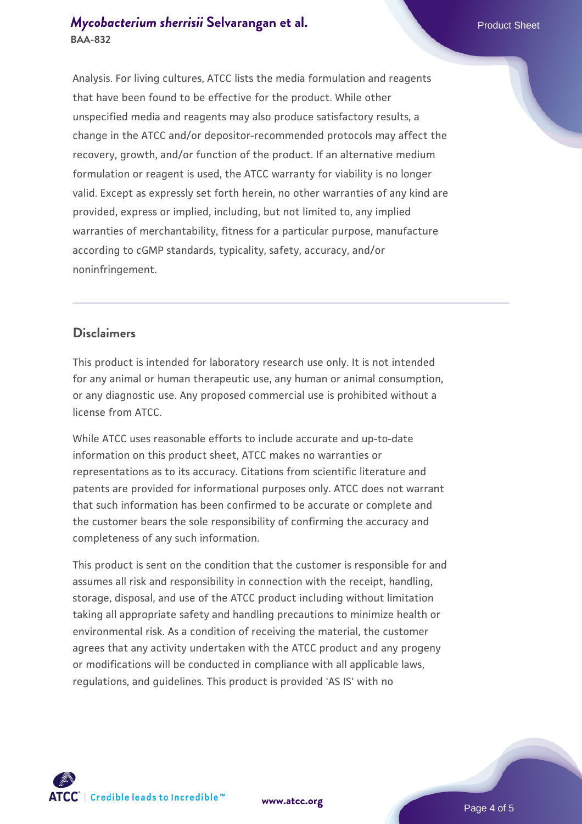## **[Mycobacterium sherrisii](https://www.atcc.org/products/baa-832) [Selvarangan et al.](https://www.atcc.org/products/baa-832)** Product Sheet **BAA-832**

Analysis. For living cultures, ATCC lists the media formulation and reagents that have been found to be effective for the product. While other unspecified media and reagents may also produce satisfactory results, a change in the ATCC and/or depositor-recommended protocols may affect the recovery, growth, and/or function of the product. If an alternative medium formulation or reagent is used, the ATCC warranty for viability is no longer valid. Except as expressly set forth herein, no other warranties of any kind are provided, express or implied, including, but not limited to, any implied warranties of merchantability, fitness for a particular purpose, manufacture according to cGMP standards, typicality, safety, accuracy, and/or noninfringement.

## **Disclaimers**

This product is intended for laboratory research use only. It is not intended for any animal or human therapeutic use, any human or animal consumption, or any diagnostic use. Any proposed commercial use is prohibited without a license from ATCC.

While ATCC uses reasonable efforts to include accurate and up-to-date information on this product sheet, ATCC makes no warranties or representations as to its accuracy. Citations from scientific literature and patents are provided for informational purposes only. ATCC does not warrant that such information has been confirmed to be accurate or complete and the customer bears the sole responsibility of confirming the accuracy and completeness of any such information.

This product is sent on the condition that the customer is responsible for and assumes all risk and responsibility in connection with the receipt, handling, storage, disposal, and use of the ATCC product including without limitation taking all appropriate safety and handling precautions to minimize health or environmental risk. As a condition of receiving the material, the customer agrees that any activity undertaken with the ATCC product and any progeny or modifications will be conducted in compliance with all applicable laws, regulations, and guidelines. This product is provided 'AS IS' with no